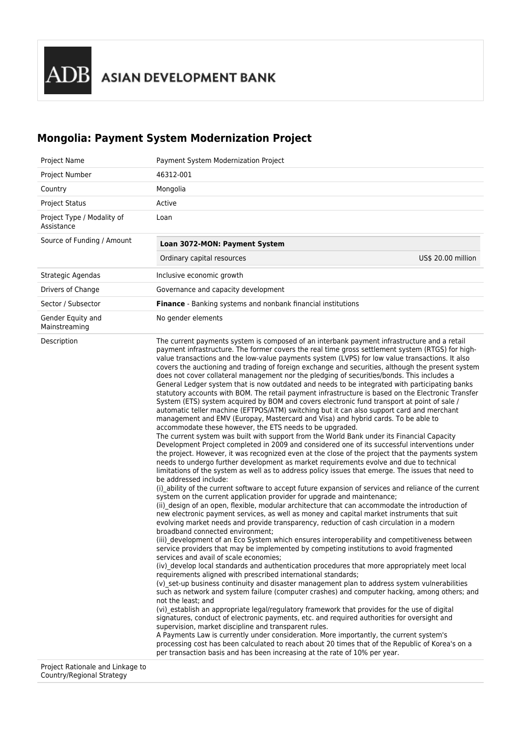# **Mongolia: Payment System Modernization Project**

| Project Name                             | Payment System Modernization Project                                                                                                                                                                                                                                                                                                                                                                                                                                                                                                                                                                                                                                                                                                                                                                                                                                                                                                                                                                                                                                                                                                                                                                                                                                                                                                                                                                                                                                                                                                                                                                                                                                                                                                                                                                                                                                                                                                                                                                                                                                                                                                                                                                                                                                                                                                                                                                                                                                                                                                                                                                                                                                                                                                                                                                                                                                                                                                                                                                                                                                                                                                                                                                                                                                                   |
|------------------------------------------|----------------------------------------------------------------------------------------------------------------------------------------------------------------------------------------------------------------------------------------------------------------------------------------------------------------------------------------------------------------------------------------------------------------------------------------------------------------------------------------------------------------------------------------------------------------------------------------------------------------------------------------------------------------------------------------------------------------------------------------------------------------------------------------------------------------------------------------------------------------------------------------------------------------------------------------------------------------------------------------------------------------------------------------------------------------------------------------------------------------------------------------------------------------------------------------------------------------------------------------------------------------------------------------------------------------------------------------------------------------------------------------------------------------------------------------------------------------------------------------------------------------------------------------------------------------------------------------------------------------------------------------------------------------------------------------------------------------------------------------------------------------------------------------------------------------------------------------------------------------------------------------------------------------------------------------------------------------------------------------------------------------------------------------------------------------------------------------------------------------------------------------------------------------------------------------------------------------------------------------------------------------------------------------------------------------------------------------------------------------------------------------------------------------------------------------------------------------------------------------------------------------------------------------------------------------------------------------------------------------------------------------------------------------------------------------------------------------------------------------------------------------------------------------------------------------------------------------------------------------------------------------------------------------------------------------------------------------------------------------------------------------------------------------------------------------------------------------------------------------------------------------------------------------------------------------------------------------------------------------------------------------------------------------|
| Project Number                           | 46312-001                                                                                                                                                                                                                                                                                                                                                                                                                                                                                                                                                                                                                                                                                                                                                                                                                                                                                                                                                                                                                                                                                                                                                                                                                                                                                                                                                                                                                                                                                                                                                                                                                                                                                                                                                                                                                                                                                                                                                                                                                                                                                                                                                                                                                                                                                                                                                                                                                                                                                                                                                                                                                                                                                                                                                                                                                                                                                                                                                                                                                                                                                                                                                                                                                                                                              |
| Country                                  | Mongolia                                                                                                                                                                                                                                                                                                                                                                                                                                                                                                                                                                                                                                                                                                                                                                                                                                                                                                                                                                                                                                                                                                                                                                                                                                                                                                                                                                                                                                                                                                                                                                                                                                                                                                                                                                                                                                                                                                                                                                                                                                                                                                                                                                                                                                                                                                                                                                                                                                                                                                                                                                                                                                                                                                                                                                                                                                                                                                                                                                                                                                                                                                                                                                                                                                                                               |
| <b>Project Status</b>                    | Active                                                                                                                                                                                                                                                                                                                                                                                                                                                                                                                                                                                                                                                                                                                                                                                                                                                                                                                                                                                                                                                                                                                                                                                                                                                                                                                                                                                                                                                                                                                                                                                                                                                                                                                                                                                                                                                                                                                                                                                                                                                                                                                                                                                                                                                                                                                                                                                                                                                                                                                                                                                                                                                                                                                                                                                                                                                                                                                                                                                                                                                                                                                                                                                                                                                                                 |
| Project Type / Modality of<br>Assistance | Loan                                                                                                                                                                                                                                                                                                                                                                                                                                                                                                                                                                                                                                                                                                                                                                                                                                                                                                                                                                                                                                                                                                                                                                                                                                                                                                                                                                                                                                                                                                                                                                                                                                                                                                                                                                                                                                                                                                                                                                                                                                                                                                                                                                                                                                                                                                                                                                                                                                                                                                                                                                                                                                                                                                                                                                                                                                                                                                                                                                                                                                                                                                                                                                                                                                                                                   |
| Source of Funding / Amount               | Loan 3072-MON: Payment System                                                                                                                                                                                                                                                                                                                                                                                                                                                                                                                                                                                                                                                                                                                                                                                                                                                                                                                                                                                                                                                                                                                                                                                                                                                                                                                                                                                                                                                                                                                                                                                                                                                                                                                                                                                                                                                                                                                                                                                                                                                                                                                                                                                                                                                                                                                                                                                                                                                                                                                                                                                                                                                                                                                                                                                                                                                                                                                                                                                                                                                                                                                                                                                                                                                          |
|                                          | Ordinary capital resources<br>US\$ 20.00 million                                                                                                                                                                                                                                                                                                                                                                                                                                                                                                                                                                                                                                                                                                                                                                                                                                                                                                                                                                                                                                                                                                                                                                                                                                                                                                                                                                                                                                                                                                                                                                                                                                                                                                                                                                                                                                                                                                                                                                                                                                                                                                                                                                                                                                                                                                                                                                                                                                                                                                                                                                                                                                                                                                                                                                                                                                                                                                                                                                                                                                                                                                                                                                                                                                       |
| Strategic Agendas                        | Inclusive economic growth                                                                                                                                                                                                                                                                                                                                                                                                                                                                                                                                                                                                                                                                                                                                                                                                                                                                                                                                                                                                                                                                                                                                                                                                                                                                                                                                                                                                                                                                                                                                                                                                                                                                                                                                                                                                                                                                                                                                                                                                                                                                                                                                                                                                                                                                                                                                                                                                                                                                                                                                                                                                                                                                                                                                                                                                                                                                                                                                                                                                                                                                                                                                                                                                                                                              |
| Drivers of Change                        | Governance and capacity development                                                                                                                                                                                                                                                                                                                                                                                                                                                                                                                                                                                                                                                                                                                                                                                                                                                                                                                                                                                                                                                                                                                                                                                                                                                                                                                                                                                                                                                                                                                                                                                                                                                                                                                                                                                                                                                                                                                                                                                                                                                                                                                                                                                                                                                                                                                                                                                                                                                                                                                                                                                                                                                                                                                                                                                                                                                                                                                                                                                                                                                                                                                                                                                                                                                    |
| Sector / Subsector                       | <b>Finance</b> - Banking systems and nonbank financial institutions                                                                                                                                                                                                                                                                                                                                                                                                                                                                                                                                                                                                                                                                                                                                                                                                                                                                                                                                                                                                                                                                                                                                                                                                                                                                                                                                                                                                                                                                                                                                                                                                                                                                                                                                                                                                                                                                                                                                                                                                                                                                                                                                                                                                                                                                                                                                                                                                                                                                                                                                                                                                                                                                                                                                                                                                                                                                                                                                                                                                                                                                                                                                                                                                                    |
| Gender Equity and<br>Mainstreaming       | No gender elements                                                                                                                                                                                                                                                                                                                                                                                                                                                                                                                                                                                                                                                                                                                                                                                                                                                                                                                                                                                                                                                                                                                                                                                                                                                                                                                                                                                                                                                                                                                                                                                                                                                                                                                                                                                                                                                                                                                                                                                                                                                                                                                                                                                                                                                                                                                                                                                                                                                                                                                                                                                                                                                                                                                                                                                                                                                                                                                                                                                                                                                                                                                                                                                                                                                                     |
| Description                              | The current payments system is composed of an interbank payment infrastructure and a retail<br>payment infrastructure. The former covers the real time gross settlement system (RTGS) for high-<br>value transactions and the low-value payments system (LVPS) for low value transactions. It also<br>covers the auctioning and trading of foreign exchange and securities, although the present system<br>does not cover collateral management nor the pledging of securities/bonds. This includes a<br>General Ledger system that is now outdated and needs to be integrated with participating banks<br>statutory accounts with BOM. The retail payment infrastructure is based on the Electronic Transfer<br>System (ETS) system acquired by BOM and covers electronic fund transport at point of sale /<br>automatic teller machine (EFTPOS/ATM) switching but it can also support card and merchant<br>management and EMV (Europay, Mastercard and Visa) and hybrid cards. To be able to<br>accommodate these however, the ETS needs to be upgraded.<br>The current system was built with support from the World Bank under its Financial Capacity<br>Development Project completed in 2009 and considered one of its successful interventions under<br>the project. However, it was recognized even at the close of the project that the payments system<br>needs to undergo further development as market requirements evolve and due to technical<br>limitations of the system as well as to address policy issues that emerge. The issues that need to<br>be addressed include:<br>(i) ability of the current software to accept future expansion of services and reliance of the current<br>system on the current application provider for upgrade and maintenance;<br>(ii) design of an open, flexible, modular architecture that can accommodate the introduction of<br>new electronic payment services, as well as money and capital market instruments that suit<br>evolving market needs and provide transparency, reduction of cash circulation in a modern<br>broadband connected environment:<br>(iii) development of an Eco System which ensures interoperability and competitiveness between<br>service providers that may be implemented by competing institutions to avoid fragmented<br>services and avail of scale economies:<br>(iv) develop local standards and authentication procedures that more appropriately meet local<br>requirements aligned with prescribed international standards;<br>(v) set-up business continuity and disaster management plan to address system vulnerabilities<br>such as network and system failure (computer crashes) and computer hacking, among others; and<br>not the least; and<br>(vi) establish an appropriate legal/regulatory framework that provides for the use of digital<br>signatures, conduct of electronic payments, etc. and required authorities for oversight and<br>supervision, market discipline and transparent rules.<br>A Payments Law is currently under consideration. More importantly, the current system's<br>processing cost has been calculated to reach about 20 times that of the Republic of Korea's on a<br>per transaction basis and has been increasing at the rate of 10% per year. |

Project Rationale and Linkage to Country/Regional Strategy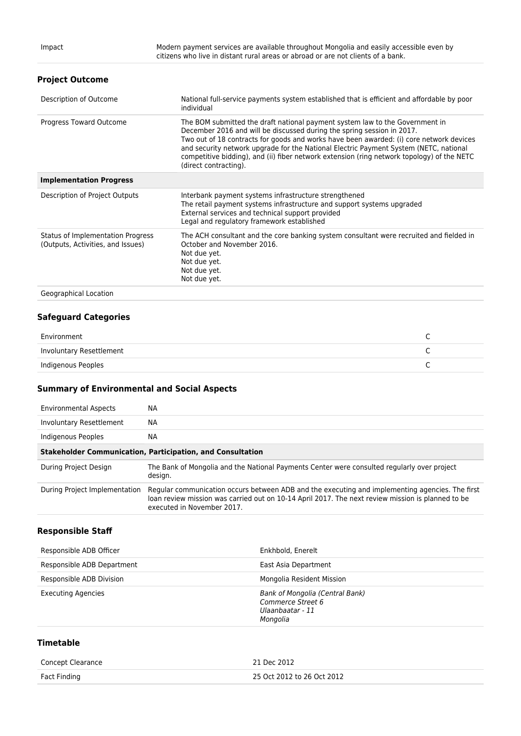#### **Project Outcome**

| Description of Outcome                                                 | National full-service payments system established that is efficient and affordable by poor<br>individual                                                                                                                                                                                                                                                                                                                                                          |
|------------------------------------------------------------------------|-------------------------------------------------------------------------------------------------------------------------------------------------------------------------------------------------------------------------------------------------------------------------------------------------------------------------------------------------------------------------------------------------------------------------------------------------------------------|
| Progress Toward Outcome                                                | The BOM submitted the draft national payment system law to the Government in<br>December 2016 and will be discussed during the spring session in 2017.<br>Two out of 18 contracts for goods and works have been awarded: (i) core network devices<br>and security network upgrade for the National Electric Payment System (NETC, national<br>competitive bidding), and (ii) fiber network extension (ring network topology) of the NETC<br>(direct contracting). |
| <b>Implementation Progress</b>                                         |                                                                                                                                                                                                                                                                                                                                                                                                                                                                   |
| Description of Project Outputs                                         | Interbank payment systems infrastructure strengthened<br>The retail payment systems infrastructure and support systems upgraded<br>External services and technical support provided<br>Legal and regulatory framework established                                                                                                                                                                                                                                 |
| Status of Implementation Progress<br>(Outputs, Activities, and Issues) | The ACH consultant and the core banking system consultant were recruited and fielded in<br>October and November 2016.<br>Not due yet.<br>Not due yet.<br>Not due yet.<br>Not due yet.                                                                                                                                                                                                                                                                             |
| Caramental Department                                                  |                                                                                                                                                                                                                                                                                                                                                                                                                                                                   |

Geographical Location

#### **Safeguard Categories**

| Environment              |  |
|--------------------------|--|
| Involuntary Resettlement |  |
| Indigenous Peoples       |  |

#### **Summary of Environmental and Social Aspects**

| <b>Environmental Aspects</b>                                      | NА                                                                                                                                                                                                                                 |  |
|-------------------------------------------------------------------|------------------------------------------------------------------------------------------------------------------------------------------------------------------------------------------------------------------------------------|--|
| Involuntary Resettlement                                          | NА                                                                                                                                                                                                                                 |  |
| Indigenous Peoples                                                | NА                                                                                                                                                                                                                                 |  |
| <b>Stakeholder Communication, Participation, and Consultation</b> |                                                                                                                                                                                                                                    |  |
| During Project Design                                             | The Bank of Mongolia and the National Payments Center were consulted regularly over project<br>design.                                                                                                                             |  |
| During Project Implementation                                     | Regular communication occurs between ADB and the executing and implementing agencies. The first<br>loan review mission was carried out on 10-14 April 2017. The next review mission is planned to be<br>executed in November 2017. |  |

## **Responsible Staff**

| Responsible ADB Officer    | Enkhbold, Enerelt                                                                    |
|----------------------------|--------------------------------------------------------------------------------------|
| Responsible ADB Department | East Asia Department                                                                 |
| Responsible ADB Division   | Mongolia Resident Mission                                                            |
| <b>Executing Agencies</b>  | Bank of Mongolia (Central Bank)<br>Commerce Street 6<br>Ulaanbaatar - 11<br>Mongolia |

### **Timetable**

| <b>Concept Clearance</b> | 21 Dec 2012                |
|--------------------------|----------------------------|
| Fact Finding             | 25 Oct 2012 to 26 Oct 2012 |
|                          |                            |